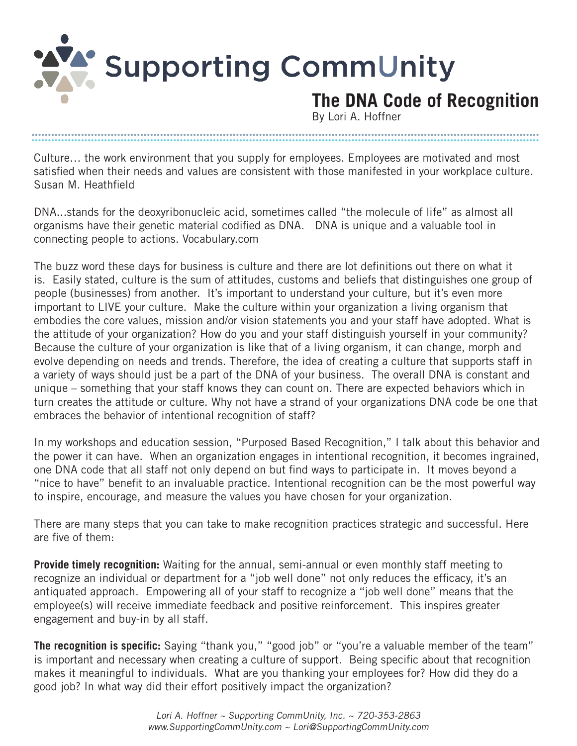Supporting CommUnity

## **The DNA Code of Recognition**

By Lori A. Hoffner

Culture… the work environment that you supply for employees. Employees are motivated and most satisfied when their needs and values are consistent with those manifested in your workplace culture. Susan M. Heathfield

**.......................................................................................................................................................... ..........................................................................................................................................................**

DNA...stands for the deoxyribonucleic acid, sometimes called "the molecule of life" as almost all organisms have their genetic material codified as DNA. DNA is unique and a valuable tool in connecting people to actions. Vocabulary.com

The buzz word these days for business is culture and there are lot definitions out there on what it is. Easily stated, culture is the sum of attitudes, customs and beliefs that distinguishes one group of people (businesses) from another. It's important to understand your culture, but it's even more important to LIVE your culture. Make the culture within your organization a living organism that embodies the core values, mission and/or vision statements you and your staff have adopted. What is the attitude of your organization? How do you and your staff distinguish yourself in your community? Because the culture of your organization is like that of a living organism, it can change, morph and evolve depending on needs and trends. Therefore, the idea of creating a culture that supports staff in a variety of ways should just be a part of the DNA of your business. The overall DNA is constant and unique – something that your staff knows they can count on. There are expected behaviors which in turn creates the attitude or culture. Why not have a strand of your organizations DNA code be one that embraces the behavior of intentional recognition of staff?

In my workshops and education session, "Purposed Based Recognition," I talk about this behavior and the power it can have. When an organization engages in intentional recognition, it becomes ingrained, one DNA code that all staff not only depend on but find ways to participate in. It moves beyond a "nice to have" benefit to an invaluable practice. Intentional recognition can be the most powerful way to inspire, encourage, and measure the values you have chosen for your organization.

There are many steps that you can take to make recognition practices strategic and successful. Here are five of them:

**Provide timely recognition:** Waiting for the annual, semi-annual or even monthly staff meeting to recognize an individual or department for a "job well done" not only reduces the efficacy, it's an antiquated approach. Empowering all of your staff to recognize a "job well done" means that the employee(s) will receive immediate feedback and positive reinforcement. This inspires greater engagement and buy-in by all staff.

**The recognition is specific:** Saying "thank you," "good job" or "you're a valuable member of the team" is important and necessary when creating a culture of support. Being specific about that recognition makes it meaningful to individuals. What are you thanking your employees for? How did they do a good job? In what way did their effort positively impact the organization?